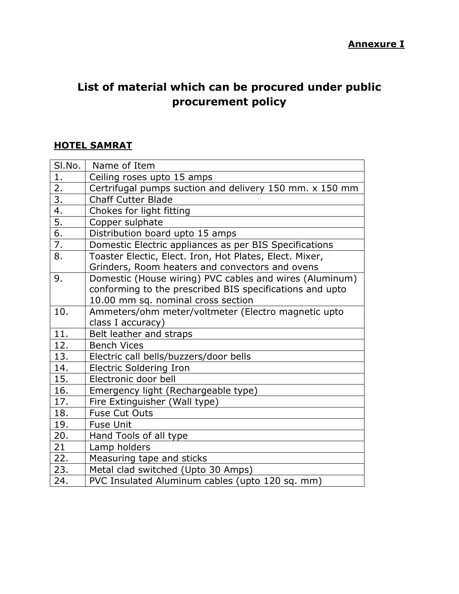## **List of material which can be procured under public procurement policy**

## **HOTEL SAMRAT**

| SI.No.           | Name of Item                                             |
|------------------|----------------------------------------------------------|
| 1.               | Ceiling roses upto 15 amps                               |
| 2.               | Certrifugal pumps suction and delivery 150 mm. x 150 mm  |
| $\overline{3}$ . | <b>Chaff Cutter Blade</b>                                |
| 4.               | Chokes for light fitting                                 |
| 5.               | Copper sulphate                                          |
| 6.               | Distribution board upto 15 amps                          |
| 7.               | Domestic Electric appliances as per BIS Specifications   |
| 8.               | Toaster Electic, Elect. Iron, Hot Plates, Elect. Mixer,  |
|                  | Grinders, Room heaters and convectors and ovens          |
| 9.               | Domestic (House wiring) PVC cables and wires (Aluminum)  |
|                  | conforming to the prescribed BIS specifications and upto |
|                  | 10.00 mm sq. nominal cross section                       |
| 10.              | Ammeters/ohm meter/voltmeter (Electro magnetic upto      |
|                  | class I accuracy)                                        |
| 11.              | Belt leather and straps                                  |
| 12.              | <b>Bench Vices</b>                                       |
| 13.              | Electric call bells/buzzers/door bells                   |
| 14.              | <b>Electric Soldering Iron</b>                           |
| 15.              | Electronic door bell                                     |
| 16.              | Emergency light (Rechargeable type)                      |
| 17.              | Fire Extinguisher (Wall type)                            |
| 18.              | <b>Fuse Cut Outs</b>                                     |
| 19.              | <b>Fuse Unit</b>                                         |
| 20.              | Hand Tools of all type                                   |
| 21               | Lamp holders                                             |
| 22.              | Measuring tape and sticks                                |
| 23.              | Metal clad switched (Upto 30 Amps)                       |
| 24.              | PVC Insulated Aluminum cables (upto 120 sq. mm)          |